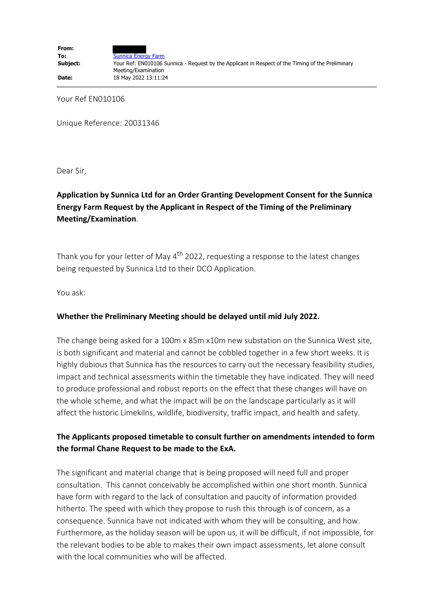Your Ref EN010106

Unique Reference: 20031346

Dear Sir,

## **Application by Sunnica Ltd for an Order Granting Development Consent for the Sunnica Energy Farm Request by the Applicant in Respect of the Timing of the Preliminary Meeting/Examination**.

Thank you for your letter of May  $4<sup>th</sup>$  2022, requesting a response to the latest changes being requested by Sunnica Ltd to their DCO Application.

You ask:

## **Whether the Preliminary Meeting should be delayed until mid July 2022.**

The change being asked for a 100m x 85m x10m new substation on the Sunnica West site, is both significant and material and cannot be cobbled together in a few short weeks. It is highly dubious that Sunnica has the resources to carry out the necessary feasibility studies, impact and technical assessments within the timetable they have indicated. They will need to produce professional and robust reports on the effect that these changes will have on the whole scheme, and what the impact will be on the landscape particularly as it will affect the historic Limekilns, wildlife, biodiversity, traffic impact, and health and safety.

## **The Applicants proposed timetable to consult further on amendments intended to form the formal Chane Request to be made to the ExA.**

The significant and material change that is being proposed will need full and proper consultation. This cannot conceivably be accomplished within one short month. Sunnica have form with regard to the lack of consultation and paucity of information provided hitherto. The speed with which they propose to rush this through is of concern, as a consequence. Sunnica have not indicated with whom they will be consulting, and how. Furthermore, as the holiday season will be upon us, it will be difficult, if not impossible, for the relevant bodies to be able to makes their own impact assessments, let alone consult with the local communities who will be affected.